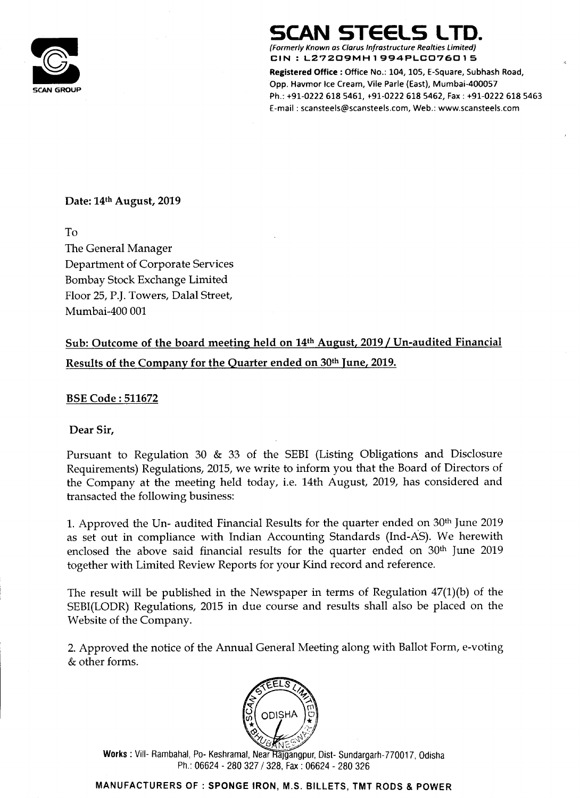

(Formerly Known as Clarus Infrastructure Rea/ties Limited) CIN:L27209MH1994PLCD7601 5

# SCAN STEELS LTD.

Registered Office : Office No.: 104, 105, E—Square, Subhash Road, Opp. Havmor Ice Cream, Vile Parle (East), Mumbai-400057 Ph.: +91-0222 618 S461, +91-0222 618 5462, Fax : +91—0222 618 5463 E-mail : scansteels@scanstee|s.com, Web.: www.5cansteels.com

Date: 14th August, 2019

Sub: Outcome of the board meeting held on 14<sup>th</sup> August, 2019 / Un-audited Financial Results of the Company for the Quarter ended on 30th lune, 2019.

#### To

The General Manager Department of Corporate Services Bombay Stock Exchange Limited Floor 25, P.]. Towers, Dalal Street, Mumbai-400 001

BSE Code : 511672

Dear Sir,

Pursuant to Regulation <sup>30</sup> & <sup>33</sup> of the SEBI (Listing Obligations and Disclosure Requirements) Regulations, 2015, we write to inform you that the Board of Directors of the Company at the meeting held today, i.e. 14th August, 2019, has considered and transacted the following business:

1. Approved the Un- audited Financial Results for the quarter ended on 30th June 2019 as set out in compliance with Indian Accounting Standards (Ind-AS). We herewith enclosed the above said financial results for the quarter ended on 30th June 2019 together with Limited Review Reports for your Kind record and reference.

The result will be published in the Newspaper in terms of Regulation 47(1)(b) of the SEBI(LODR) Regulations, <sup>2015</sup> in due course and results shall also be placed on the

## Website of the Company.

2. Approved the notice of the Annual General Meeting along with Ballot Form, e-voting & other forms.



Works: Vill- Rambahal, Po- Keshramal, Near Rajgangpur, Dist- Sundargarh-770017, Odisha Ph.: 06624 - 280 327 / 328, Fax : 06624 - 280 326

#### MANUFACTURERS OF : SPONGE IRON, M.S. BILLETS, TMT RODS & POWER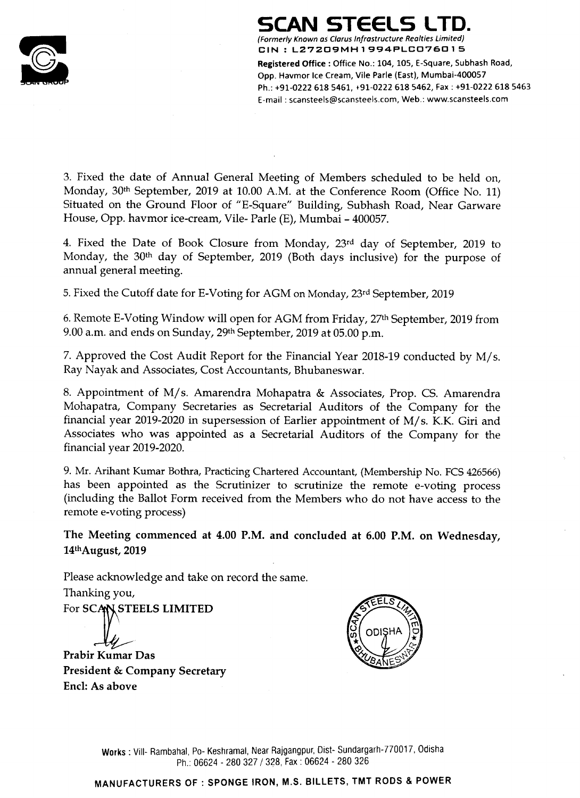# SCAN STEELS LTD.



(Formerly Known as Clarus Infrastructure Rea/ties Limited) CIN : L27209MH1994PLCD76015

Registered Office : Office No.: 104, 105, E-Square, Subhash Road,<br>Opp. Havmor Ice Cream, Vile Parle (East), Mumbai-400057 CIN : L27209MH1994PLC076015<br>Registered Office : Office No.: 104, 105, E-Square, Subhash<br>Opp. Havmor Ice Cream, Vile Parle (East), Mumbai-400057<br>Ph.: +91-0222 618 5461, +91-0222 618 5462, Fax : +91-022 Ph.: +91—0222 618 5461, +91-0222 618 5462, Fax : +91-0222 618 5463 E-mail : scansteels@scansteels.com, Web.: www.scanstee|5.com

3. Fixed the date of Annual General Meeting of Members scheduled to be held on, Monday, 30<sup>th</sup> September, 2019 at 10.00 A.M. at the Conference Room (Office No. 11) Situated on the Ground Floor of "E-Square" Building, Subhash Road, Near Garware House, Opp. havmor ice-cream, Vile- Parle (E), Mumbai - 400057.

4. Fixed the Date of Book Closure from Monday, 23rd day of September, 2019 to Monday, the 30th day of September, 2019 (Both days inclusive) for the purpose of annual general meeting.

5. Fixed the Cutoff date for E-Voting for AGM on Monday, 23rd September, 2019

Please acknowledge and take on record the same. Thanking you, For SCAN STEELS LIMITED





6. Remote E-Voting Window will open for AGM from Friday, 27th September, 2019 from 9.00 am. and ends on Sunday, 29th September, <sup>2019</sup> at 05.00 pm.

Works : Vill- Rambahal, Po- Keshramal, Near Rajgangpur, Dist- Sundargarh-770017, Odisha Ph.: 06624 - 280 327 / 328, Fax : 06624 - 280 326

7. Approved the Cost Audit Report for the Financial Year 2018-19 conducted by <sup>M</sup>/ 5. Ray Nayak and Associates, Cost Accountants, Bhubaneswar.

8. Appointment of M/s. Amarendra Mohapatra & Associates, Prop. CS. Amarendra Mohapatra, Company Secretaries as Secretarial Auditors of the Company for the financial year 2019-2020 in supersession of Earlier appointment of M/ s. K.K. Giri and Associates who was appointed as <sup>a</sup> Secretarial Auditors of the Company for the financial year 2019-2020.

9. Mr. Arihant Kumar Bothra, Practicing Chartered Accountant, (Membership No. FCS 426566) has been appointed as the Scrutinizer to scrutinize the remote e-voting process (including the Ballot Form received from the Members who do not have access to the remote e-voting process)

The Meeting commenced at 4.00 RM. and concluded at 6.00 P.M. on Wednesday, 14\*hAugust, 2019

Prabir Kumar Das

President & Company Secretary Encl: As above

## MANUFACTURERS OF : SPONGE IRON, M.S. BILLETS, TMT RODS & POWER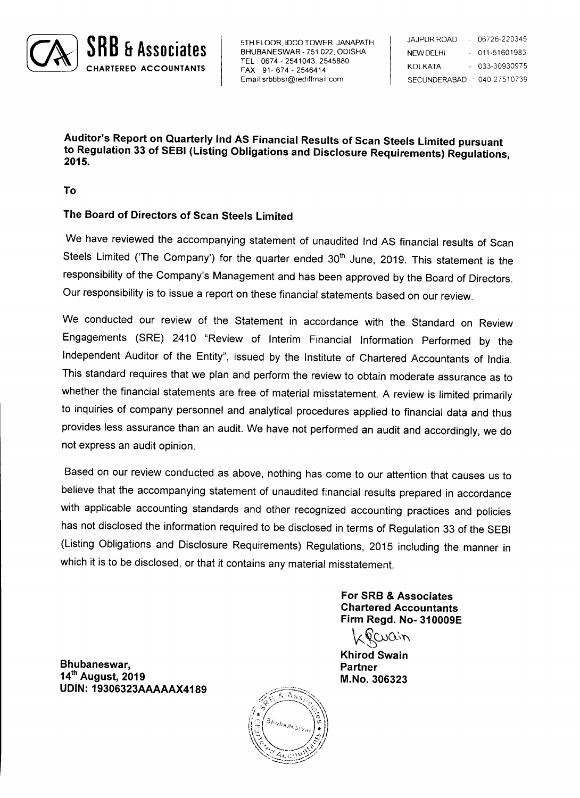5TH FLOOR, IDCO TOWER, JANAPATH, TEL : 0674 — 2541043, 2545880 \_ 2546414 Email:srbbbsr@rediffmail.com



| <b>JAJPUR ROAD</b>          | 06726-220345      |
|-----------------------------|-------------------|
| <b>NEW DELHI</b>            | $-011 - 51601983$ |
| KOLKATA                     | $-033 - 30930975$ |
| SECUNDERABAD - 040-27510739 |                   |

Auditor's Report on Quarterly lnd AS Financial Results of Scan Steels Limited pursuant to Regulation <sup>33</sup> of SEBI (Listing Obligations and Disclosure Requirements) Regulations, 2015.

### The Board of Directors of Scan Steels Limited

We have reviewed the accompanying statement of unaudited Ind AS financial results of Scan Steels Limited ('The Company') for the quarter ended 30<sup>th</sup> June, 2019. This statement is the responsibility of the Company's Management and has been approved by the Board of Directors. Our responsibility is to issue <sup>a</sup> report on these financial statements based on our review.

### Bhubaneswar, Partner 14<sup>th</sup> August, 2019 M.No. 306323 UDIN: 19306323AAAAAX4189

We conducted our review of the Statement in accordance with the Standard on Review Engagements (SRE) <sup>2410</sup> "Review of Interim Financial Information Performed by the Independent Auditor of the Entity", issued by the Institute of Chartered Accountants of India. This standard requires that we plan and perform the review to obtain moderate assurance as to whether the financial statements are free of material misstatement. <sup>A</sup> review is limited primarily to inquiries of company personnel and analytical procedures applied to financial data and thus provides less assurance than an audit. We have not performed an audit and accordingly, we do not express an audit opinion.

Based on our review conducted as above, nothing has come to our attention that causes us to believe that the accompanying statement of unaudited financial results prepared in accordance with applicable accounting standards and other recognized accounting practices and policies has not disclosed the information required to be disclosed in terms of Regulation <sup>33</sup> of the SEBI (Listing Obligations and Disclosure Requirements) Regulations, <sup>2015</sup> including the manner in which it is to be disclosed, or that it contains any material misstatement.

> For SRB & Associates Chartered Accountants

Firm Regd. No- 310009E  $Covov$ Khirod Swain

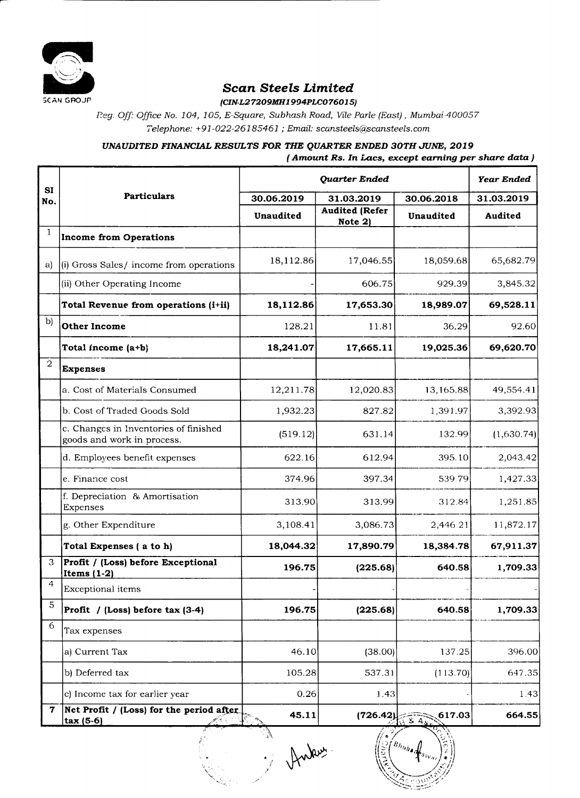

Scan Steels Limited

5CAN GROJP (CIN-L27209MH1994PLC076015)

Reg. Off: Office No. 104, 105, E-Square, Subhash Road, Vile Parle (East), Mumbai-400057 Telephone: +91—022—26185461 ; Email: scansteels@scansteels.com

UNAUDITED FINANCIAL RESULTS FOR THE QUARTER ENDED 30TH JUNE, 2019

(Amount Rs. In Lacs, except earning per share data )

|                  |                                                                     |                  | <b>Year Ended</b>                 |                                                        |                |
|------------------|---------------------------------------------------------------------|------------------|-----------------------------------|--------------------------------------------------------|----------------|
| <b>SI</b><br>No. | <b>Particulars</b>                                                  | 30.06.2019       | 31.03.2019                        | 30.06.2018                                             | 31.03.2019     |
|                  |                                                                     | <b>Unaudited</b> | <b>Audited (Refer)</b><br>Note 2) | Unaudited                                              | <b>Audited</b> |
|                  | Income from Operations                                              |                  |                                   |                                                        |                |
| a)               | (i) Gross Sales/ income from operations                             | 18,112.86        | 17,046.55                         | 18,059.68                                              | 65,682.79      |
|                  | (iii) Other Operating Income                                        |                  | 606.75                            | 929.39                                                 | 3,845.32       |
|                  | Total Revenue from operations (i+ii)                                | 18,112.86        | 17,653.30                         | 18,989.07                                              | 69,528.11      |
| b)               | <b>Other Income</b>                                                 | 128.21           | 11.81                             | 36.29                                                  | 92.60          |
|                  | Total income $(a+b)$                                                | 18,241.07        | 17,665.11                         | 19,025.36                                              | 69,620.70      |
| $\overline{2}$   | Expenses                                                            |                  |                                   |                                                        |                |
|                  | la. Cost of Materials Consumed                                      | 12,211.78        | 12,020.83                         | 13,165.88                                              | 49,554.41      |
|                  | b. Cost of Traded Goods Sold                                        | 1,932.23         | 827.82                            | 1,391.97                                               | 3,392.93       |
|                  | c. Changes in Inventories of finished<br>goods and work in process. | (519.12)         | 631.14                            | 132.99                                                 | (1,630.74)     |
|                  | d. Employees benefit expenses                                       | 622.16           | 612.94                            | 395.10                                                 | 2,043.42       |
|                  | le. Finance cost                                                    | 374.96           | 397.34                            | 539.79                                                 | 1,427.33       |
|                  | f. Depreciation & Amortisation<br><b>Expenses</b>                   | 313.90           | 313.99                            | 312.84                                                 | 1,251.85       |
|                  | g. Other Expenditure                                                | 3,108.41         | 3,086.73                          | 2,446.21                                               | 11,872.17      |
|                  | Total Expenses (a to h)                                             | 18,044.32        | 17,890.79                         | 18,384.78                                              | 67,911.37      |
| 3                | <b>Profit / (Loss) before Exceptional</b><br>Items $(1-2)$          | 196.75           | (225.68)                          | 640.58                                                 | 1,709.33       |
| 4                | <b>Exceptional items</b>                                            |                  |                                   |                                                        |                |
| 5                | $ Profit / (Loss) before tax (3-4)$                                 | 196.75           | (225.68)                          | 640.58                                                 | 1,709.33       |
| 6                | Tax expenses                                                        |                  |                                   |                                                        |                |
|                  | a) Current Tax                                                      | 46.10            | (38.00)                           | 137.25                                                 | 396.00         |
|                  | b) Deferred tax                                                     | 105.28           | 537.31                            | (113.70)                                               | 647.35         |
|                  | (c) Income tax for earlier year                                     | 0.26             | 1.43                              |                                                        | 1,43           |
| 7                | Net Profit / (Loss) for the period after<br>$ $ tax (5-6)           | 45.11            | (726.42)                          | $\left[ 617.03 \right]$                                | 664.55         |
|                  | <b>Contractor</b>                                                   | Rue              |                                   | $\frac{\partial f}{\partial \theta}$<br>$TS_{W_{H/I}}$ |                |